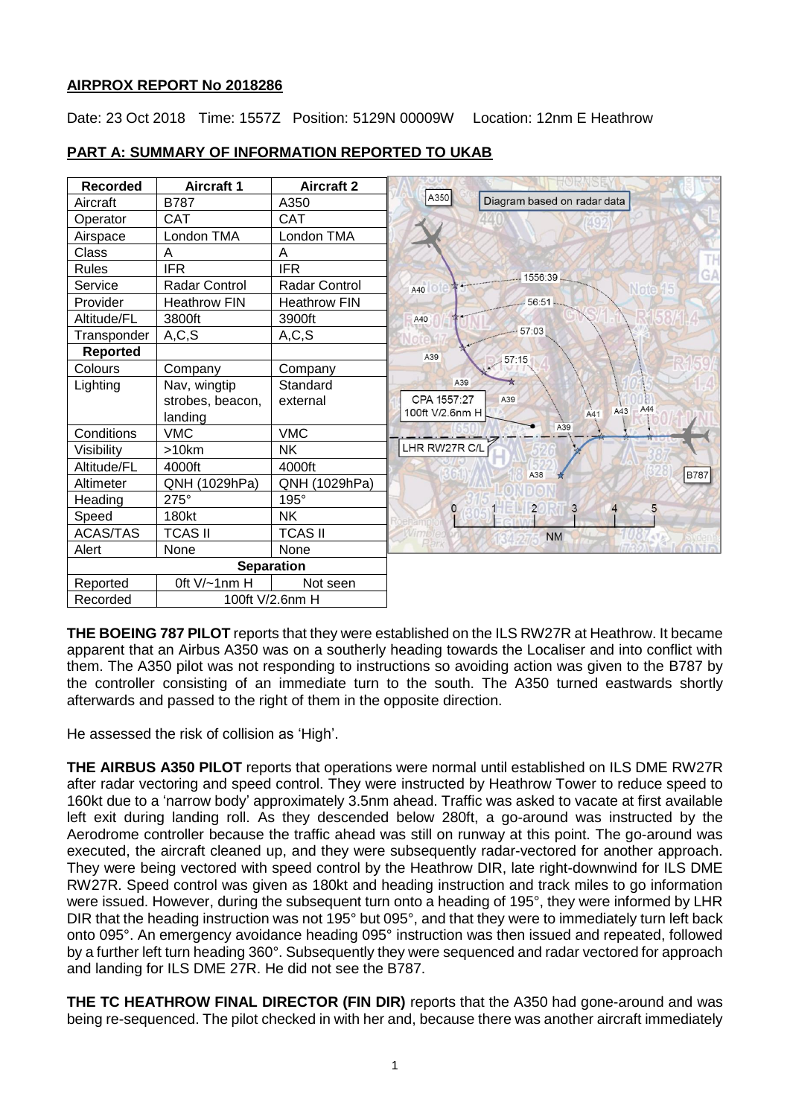## **AIRPROX REPORT No 2018286**

Date: 23 Oct 2018 Time: 1557Z Position: 5129N 00009W Location: 12nm E Heathrow

| <b>Recorded</b>   | <b>Aircraft 1</b>   | <b>Aircraft 2</b>   |                                     |
|-------------------|---------------------|---------------------|-------------------------------------|
| Aircraft          | <b>B787</b>         | A350                | A350<br>Diagram based on radar data |
| Operator          | <b>CAT</b>          | <b>CAT</b>          | 440                                 |
| Airspace          | London TMA          | London TMA          |                                     |
| Class             | Α                   | A                   |                                     |
| <b>Rules</b>      | <b>IFR</b>          | <b>IFR</b>          | 1556:39                             |
| Service           | Radar Control       | Radar Control       | A40                                 |
| Provider          | <b>Heathrow FIN</b> | <b>Heathrow FIN</b> | 56:51                               |
| Altitude/FL       | 3800ft              | 3900ft              | A40                                 |
| Transponder       | A, C, S             | A, C, S             | 57:03                               |
| <b>Reported</b>   |                     |                     | A39<br>57:15                        |
| Colours           | Company             | Company             |                                     |
| Lighting          | Nav, wingtip        | Standard            | A39                                 |
|                   | strobes, beacon,    | external            | CPA 1557:27<br>A39<br>A44           |
|                   | landing             |                     | A43<br>100ft V/2.6nm H<br>A41       |
| Conditions        | <b>VMC</b>          | <b>VMC</b>          | A39                                 |
| Visibility        | >10km               | <b>NK</b>           | LHR RW27R C/L                       |
| Altitude/FL       | 4000ft              | 4000ft              | <b>B787</b><br>A38                  |
| Altimeter         | QNH (1029hPa)       | QNH (1029hPa)       |                                     |
| Heading           | 275°                | 195°                | $\overline{2}$<br>3                 |
| Speed             | <b>180kt</b>        | <b>NK</b>           | $\circ$<br>5<br>$\overline{4}$      |
| <b>ACAS/TAS</b>   | <b>TCAS II</b>      | <b>TCAS II</b>      | <b>NM</b>                           |
| Alert             | None                | None                |                                     |
| <b>Separation</b> |                     |                     |                                     |
| Reported          | Oft V/~1nm H        | Not seen            |                                     |
| Recorded          | 100ft V/2.6nm H     |                     |                                     |

# **PART A: SUMMARY OF INFORMATION REPORTED TO UKAB**

**THE BOEING 787 PILOT** reports that they were established on the ILS RW27R at Heathrow. It became apparent that an Airbus A350 was on a southerly heading towards the Localiser and into conflict with them. The A350 pilot was not responding to instructions so avoiding action was given to the B787 by the controller consisting of an immediate turn to the south. The A350 turned eastwards shortly afterwards and passed to the right of them in the opposite direction.

He assessed the risk of collision as 'High'.

**THE AIRBUS A350 PILOT** reports that operations were normal until established on ILS DME RW27R after radar vectoring and speed control. They were instructed by Heathrow Tower to reduce speed to 160kt due to a 'narrow body' approximately 3.5nm ahead. Traffic was asked to vacate at first available left exit during landing roll. As they descended below 280ft, a go-around was instructed by the Aerodrome controller because the traffic ahead was still on runway at this point. The go-around was executed, the aircraft cleaned up, and they were subsequently radar-vectored for another approach. They were being vectored with speed control by the Heathrow DIR, late right-downwind for ILS DME RW27R. Speed control was given as 180kt and heading instruction and track miles to go information were issued. However, during the subsequent turn onto a heading of 195°, they were informed by LHR DIR that the heading instruction was not 195° but 095°, and that they were to immediately turn left back onto 095°. An emergency avoidance heading 095° instruction was then issued and repeated, followed by a further left turn heading 360°. Subsequently they were sequenced and radar vectored for approach and landing for ILS DME 27R. He did not see the B787.

**THE TC HEATHROW FINAL DIRECTOR (FIN DIR)** reports that the A350 had gone-around and was being re-sequenced. The pilot checked in with her and, because there was another aircraft immediately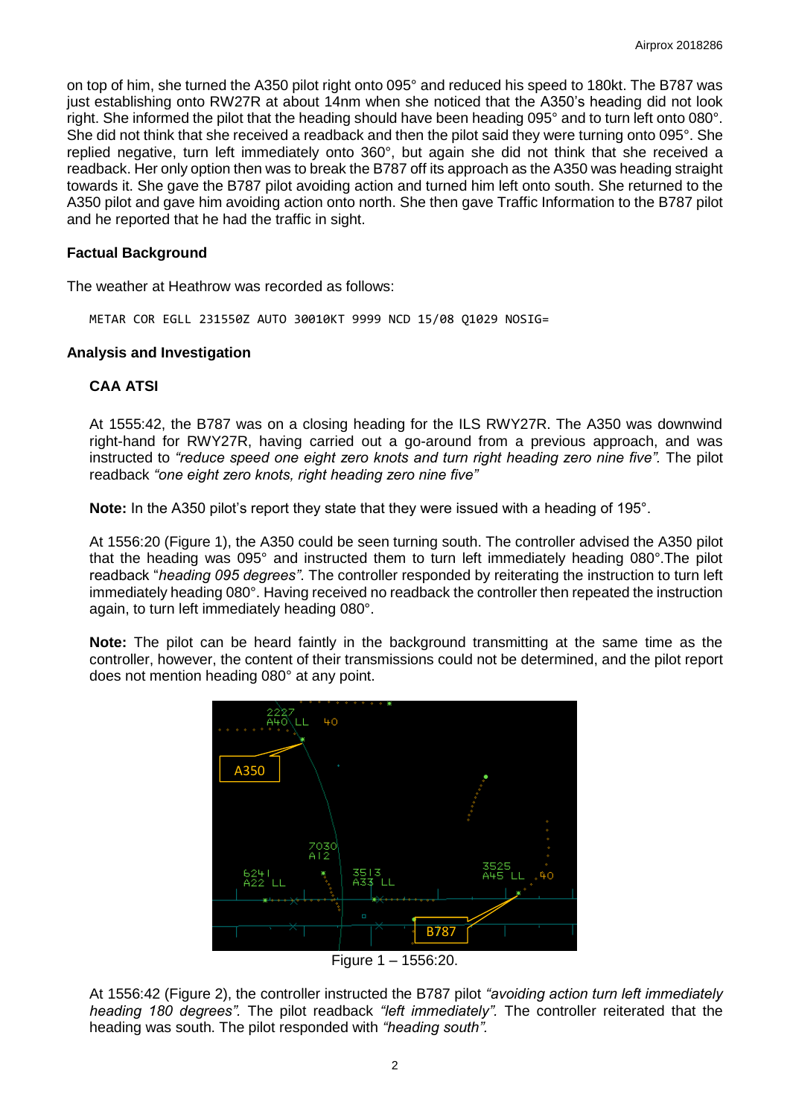on top of him, she turned the A350 pilot right onto 095° and reduced his speed to 180kt. The B787 was just establishing onto RW27R at about 14nm when she noticed that the A350's heading did not look right. She informed the pilot that the heading should have been heading 095° and to turn left onto 080°. She did not think that she received a readback and then the pilot said they were turning onto 095°. She replied negative, turn left immediately onto 360°, but again she did not think that she received a readback. Her only option then was to break the B787 off its approach as the A350 was heading straight towards it. She gave the B787 pilot avoiding action and turned him left onto south. She returned to the A350 pilot and gave him avoiding action onto north. She then gave Traffic Information to the B787 pilot and he reported that he had the traffic in sight.

### **Factual Background**

The weather at Heathrow was recorded as follows:

METAR COR EGLL 231550Z AUTO 30010KT 9999 NCD 15/08 Q1029 NOSIG=

### **Analysis and Investigation**

# **CAA ATSI**

At 1555:42, the B787 was on a closing heading for the ILS RWY27R. The A350 was downwind right-hand for RWY27R, having carried out a go-around from a previous approach, and was instructed to *"reduce speed one eight zero knots and turn right heading zero nine five".* The pilot readback *"one eight zero knots, right heading zero nine five"* 

**Note:** In the A350 pilot's report they state that they were issued with a heading of 195°.

At 1556:20 (Figure 1), the A350 could be seen turning south. The controller advised the A350 pilot that the heading was 095° and instructed them to turn left immediately heading 080°.The pilot readback "*heading 095 degrees"*. The controller responded by reiterating the instruction to turn left immediately heading 080°. Having received no readback the controller then repeated the instruction again, to turn left immediately heading 080°.

**Note:** The pilot can be heard faintly in the background transmitting at the same time as the controller, however, the content of their transmissions could not be determined, and the pilot report does not mention heading 080° at any point.



Figure 1 – 1556:20.

At 1556:42 (Figure 2), the controller instructed the B787 pilot *"avoiding action turn left immediately heading 180 degrees".* The pilot readback *"left immediately".* The controller reiterated that the heading was south. The pilot responded with *"heading south".*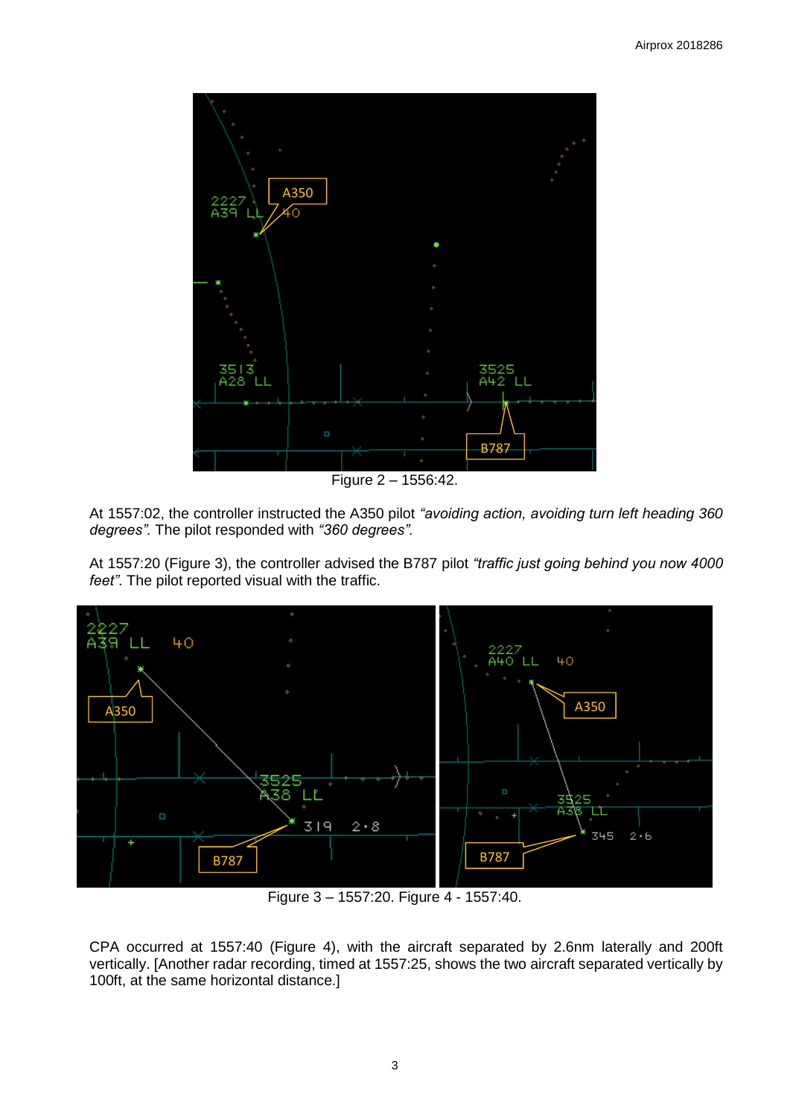

Figure 2 – 1556:42.

At 1557:02, the controller instructed the A350 pilot *"avoiding action, avoiding turn left heading 360 degrees".* The pilot responded with *"360 degrees".*

At 1557:20 (Figure 3), the controller advised the B787 pilot *"traffic just going behind you now 4000 feet"*. The pilot reported visual with the traffic.



Figure 3 – 1557:20. Figure 4 - 1557:40.

CPA occurred at 1557:40 (Figure 4), with the aircraft separated by 2.6nm laterally and 200ft vertically. [Another radar recording, timed at 1557:25, shows the two aircraft separated vertically by 100ft, at the same horizontal distance.]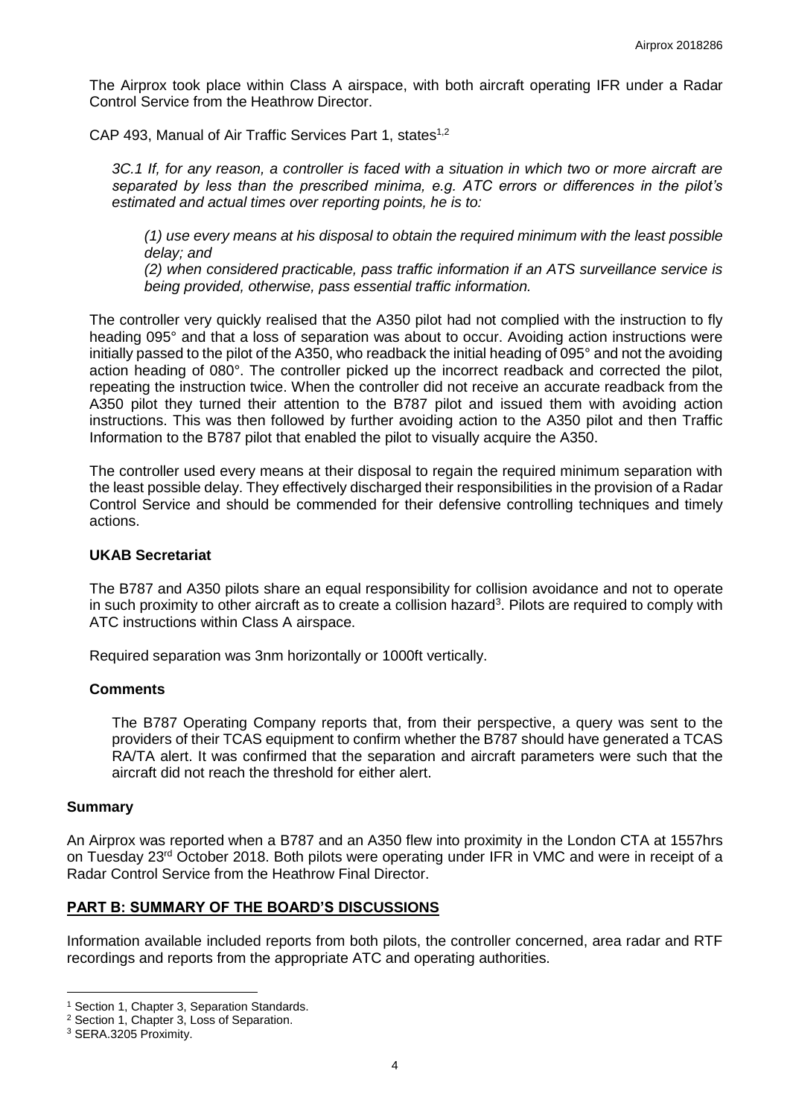The Airprox took place within Class A airspace, with both aircraft operating IFR under a Radar Control Service from the Heathrow Director.

CAP 493, Manual of Air Traffic Services Part 1, states<sup>1,2</sup>

*3C.1 If, for any reason, a controller is faced with a situation in which two or more aircraft are separated by less than the prescribed minima, e.g. ATC errors or differences in the pilot's estimated and actual times over reporting points, he is to:* 

*(1) use every means at his disposal to obtain the required minimum with the least possible delay; and* 

*(2) when considered practicable, pass traffic information if an ATS surveillance service is being provided, otherwise, pass essential traffic information.* 

The controller very quickly realised that the A350 pilot had not complied with the instruction to fly heading 095° and that a loss of separation was about to occur. Avoiding action instructions were initially passed to the pilot of the A350, who readback the initial heading of 095° and not the avoiding action heading of 080°. The controller picked up the incorrect readback and corrected the pilot, repeating the instruction twice. When the controller did not receive an accurate readback from the A350 pilot they turned their attention to the B787 pilot and issued them with avoiding action instructions. This was then followed by further avoiding action to the A350 pilot and then Traffic Information to the B787 pilot that enabled the pilot to visually acquire the A350.

The controller used every means at their disposal to regain the required minimum separation with the least possible delay. They effectively discharged their responsibilities in the provision of a Radar Control Service and should be commended for their defensive controlling techniques and timely actions.

#### **UKAB Secretariat**

The B787 and A350 pilots share an equal responsibility for collision avoidance and not to operate in such proximity to other aircraft as to create a collision hazard<sup>3</sup>. Pilots are required to comply with ATC instructions within Class A airspace.

Required separation was 3nm horizontally or 1000ft vertically.

### **Comments**

The B787 Operating Company reports that, from their perspective, a query was sent to the providers of their TCAS equipment to confirm whether the B787 should have generated a TCAS RA/TA alert. It was confirmed that the separation and aircraft parameters were such that the aircraft did not reach the threshold for either alert.

### **Summary**

An Airprox was reported when a B787 and an A350 flew into proximity in the London CTA at 1557hrs on Tuesday 23<sup>rd</sup> October 2018. Both pilots were operating under IFR in VMC and were in receipt of a Radar Control Service from the Heathrow Final Director.

# **PART B: SUMMARY OF THE BOARD'S DISCUSSIONS**

Information available included reports from both pilots, the controller concerned, area radar and RTF recordings and reports from the appropriate ATC and operating authorities.

l <sup>1</sup> Section 1, Chapter 3, Separation Standards.

<sup>2</sup> Section 1, Chapter 3, Loss of Separation.

<sup>3</sup> SERA.3205 Proximity.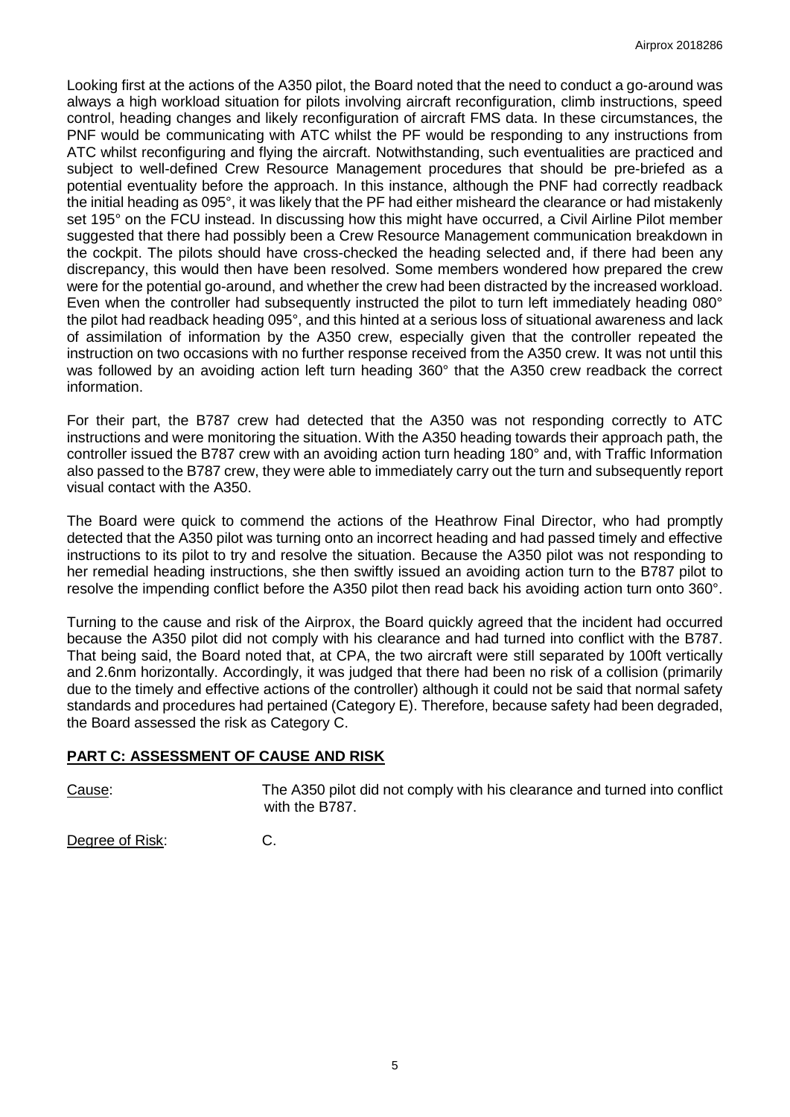Looking first at the actions of the A350 pilot, the Board noted that the need to conduct a go-around was always a high workload situation for pilots involving aircraft reconfiguration, climb instructions, speed control, heading changes and likely reconfiguration of aircraft FMS data. In these circumstances, the PNF would be communicating with ATC whilst the PF would be responding to any instructions from ATC whilst reconfiguring and flying the aircraft. Notwithstanding, such eventualities are practiced and subject to well-defined Crew Resource Management procedures that should be pre-briefed as a potential eventuality before the approach. In this instance, although the PNF had correctly readback the initial heading as 095°, it was likely that the PF had either misheard the clearance or had mistakenly set 195° on the FCU instead. In discussing how this might have occurred, a Civil Airline Pilot member suggested that there had possibly been a Crew Resource Management communication breakdown in the cockpit. The pilots should have cross-checked the heading selected and, if there had been any discrepancy, this would then have been resolved. Some members wondered how prepared the crew were for the potential go-around, and whether the crew had been distracted by the increased workload. Even when the controller had subsequently instructed the pilot to turn left immediately heading 080° the pilot had readback heading 095°, and this hinted at a serious loss of situational awareness and lack of assimilation of information by the A350 crew, especially given that the controller repeated the instruction on two occasions with no further response received from the A350 crew. It was not until this was followed by an avoiding action left turn heading 360° that the A350 crew readback the correct information.

For their part, the B787 crew had detected that the A350 was not responding correctly to ATC instructions and were monitoring the situation. With the A350 heading towards their approach path, the controller issued the B787 crew with an avoiding action turn heading 180° and, with Traffic Information also passed to the B787 crew, they were able to immediately carry out the turn and subsequently report visual contact with the A350.

The Board were quick to commend the actions of the Heathrow Final Director, who had promptly detected that the A350 pilot was turning onto an incorrect heading and had passed timely and effective instructions to its pilot to try and resolve the situation. Because the A350 pilot was not responding to her remedial heading instructions, she then swiftly issued an avoiding action turn to the B787 pilot to resolve the impending conflict before the A350 pilot then read back his avoiding action turn onto 360°.

Turning to the cause and risk of the Airprox, the Board quickly agreed that the incident had occurred because the A350 pilot did not comply with his clearance and had turned into conflict with the B787. That being said, the Board noted that, at CPA, the two aircraft were still separated by 100ft vertically and 2.6nm horizontally. Accordingly, it was judged that there had been no risk of a collision (primarily due to the timely and effective actions of the controller) although it could not be said that normal safety standards and procedures had pertained (Category E). Therefore, because safety had been degraded, the Board assessed the risk as Category C.

# **PART C: ASSESSMENT OF CAUSE AND RISK**

Cause: The A350 pilot did not comply with his clearance and turned into conflict with the B787.

Degree of Risk: C.